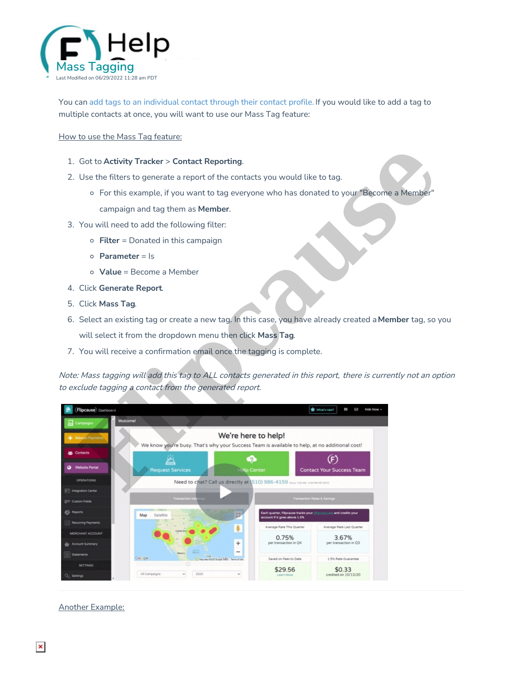

You can add tags to an [individual](http://help.flipcause.com/help/contact-tags) contact through their contact profile. If you would like to add a tag to multiple contacts at once, you will want to use our Mass Tag feature:

How to use the Mass Tag feature:

## 1. Got to **Activity Tracker** > **Contact Reporting**.

- 2. Use the filters to generate a report of the contacts you would like to tag.
	- For this example, if you want to tag everyone who has donated to your "Become a Member"
		- campaign and tag them as **Member**.
- 3. You will need to add the following filter:
	- **Filter** = Donated in this campaign
	- **Parameter** = Is
	- **Value** = Become a Member
- 4. Click **Generate Report**.
- 5. Click **Mass Tag**.
- 6. Select an existing tag or create a new tag. In this case, you have already created a**Member** tag, so you will select it from the dropdown menu then click **Mass Tag**.
- 7. You will receive a confirmation email once the tagging is complete.

Note: Mass tagging will add this tag to ALL contacts generated in this report, there is currently not an option to exclude tagging <sup>a</sup> contact from the generated report.



## Another Example: